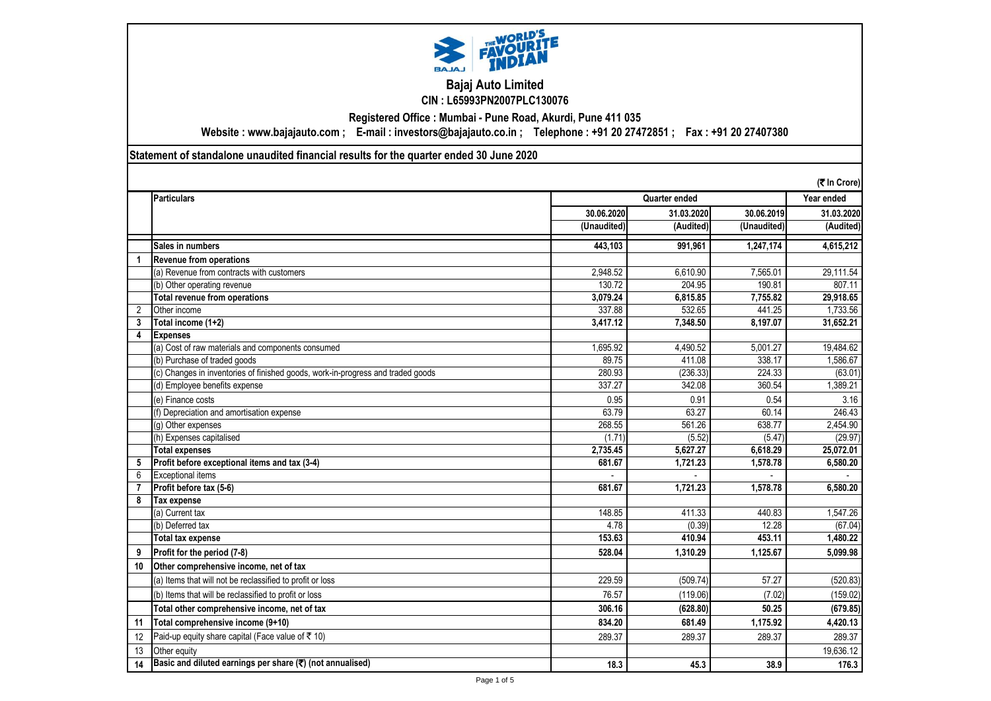

## **Bajaj Auto Limited CIN : L65993PN2007PLC130076**

**Registered Office : Mumbai - Pune Road, Akurdi, Pune 411 035**

**Website : www.bajajauto.com ; E-mail : investors@bajajauto.co.in ; Telephone : +91 20 27472851 ; Fax : +91 20 27407380**

**Statement of standalone unaudited financial results for the quarter ended 30 June 2020**

|                      | (そ In Crore)                                                                    |             |               |             |            |
|----------------------|---------------------------------------------------------------------------------|-------------|---------------|-------------|------------|
|                      | <b>Particulars</b>                                                              |             | Quarter ended |             |            |
|                      |                                                                                 | 30.06.2020  | 31.03.2020    | 30.06.2019  | 31.03.2020 |
|                      |                                                                                 | (Unaudited) | (Audited)     | (Unaudited) | (Audited)  |
|                      | Sales in numbers                                                                | 443.103     | 991.961       | 1,247,174   | 4,615,212  |
| $\blacktriangleleft$ | <b>Revenue from operations</b>                                                  |             |               |             |            |
|                      | (a) Revenue from contracts with customers                                       | 2,948.52    | 6.610.90      | 7,565.01    | 29,111.54  |
|                      | (b) Other operating revenue                                                     | 130.72      | 204.95        | 190.81      | 807.11     |
|                      | Total revenue from operations                                                   | 3,079.24    | 6,815.85      | 7.755.82    | 29,918.65  |
| $\overline{2}$       | Other income                                                                    | 337.88      | 532.65        | 441.25      | 1,733.56   |
| 3                    | Total income (1+2)                                                              | 3,417.12    | 7,348.50      | 8.197.07    | 31,652.21  |
| 4                    | <b>Expenses</b>                                                                 |             |               |             |            |
|                      | (a) Cost of raw materials and components consumed                               | 1.695.92    | 4.490.52      | 5.001.27    | 19,484.62  |
|                      | (b) Purchase of traded goods                                                    | 89.75       | 411.08        | 338.17      | 1,586.67   |
|                      | (c) Changes in inventories of finished goods, work-in-progress and traded goods | 280.93      | (236.33)      | 224.33      | (63.01)    |
|                      | (d) Employee benefits expense                                                   | 337.27      | 342.08        | 360.54      | 1,389.21   |
|                      | (e) Finance costs                                                               | 0.95        | 0.91          | 0.54        | 3.16       |
|                      | (f) Depreciation and amortisation expense                                       | 63.79       | 63.27         | 60.14       | 246.43     |
|                      | (g) Other expenses                                                              | 268.55      | 561.26        | 638.77      | 2,454.90   |
|                      | (h) Expenses capitalised                                                        | (1.71)      | (5.52)        | (5.47)      | (29.97)    |
|                      | <b>Total expenses</b>                                                           | 2.735.45    | 5,627.27      | 6.618.29    | 25,072.01  |
| 5                    | Profit before exceptional items and tax (3-4)                                   | 681.67      | 1.721.23      | 1,578.78    | 6,580.20   |
| 6                    | <b>Exceptional items</b>                                                        |             |               |             |            |
| $\overline{7}$       | Profit before tax (5-6)                                                         | 681.67      | 1.721.23      | 1.578.78    | 6.580.20   |
| 8                    | <b>Tax expense</b>                                                              |             |               |             |            |
|                      | (a) Current tax                                                                 | 148.85      | 411.33        | 440.83      | 1,547.26   |
|                      | (b) Deferred tax                                                                | 4.78        | (0.39)        | 12.28       | (67.04)    |
|                      | <b>Total tax expense</b>                                                        | 153.63      | 410.94        | 453.11      | 1,480.22   |
| 9                    | Profit for the period (7-8)                                                     | 528.04      | 1.310.29      | 1.125.67    | 5.099.98   |
| 10                   | Other comprehensive income, net of tax                                          |             |               |             |            |
|                      | (a) Items that will not be reclassified to profit or loss                       | 229.59      | (509.74)      | 57.27       | (520.83)   |
|                      | (b) Items that will be reclassified to profit or loss                           | 76.57       | (119.06)      | (7.02)      | (159.02)   |
|                      | Total other comprehensive income, net of tax                                    | 306.16      | (628.80)      | 50.25       | (679.85)   |
| 11                   | Total comprehensive income (9+10)                                               | 834.20      | 681.49        | 1.175.92    | 4.420.13   |
| 12                   | Paid-up equity share capital (Face value of ₹ 10)                               | 289.37      | 289.37        | 289.37      | 289.37     |
| 13                   | Other equity                                                                    |             |               |             | 19,636.12  |
| 14                   | Basic and diluted earnings per share (₹) (not annualised)                       | 18.3        | 45.3          | 38.9        | 176.3      |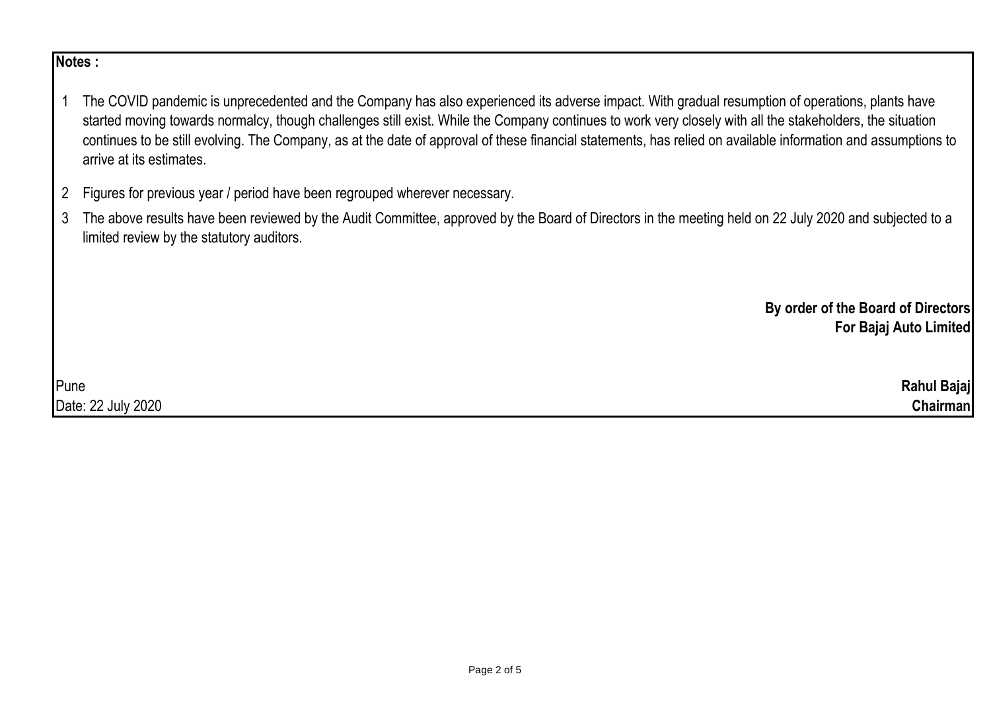## **Notes :**

1 The COVID pandemic is unprecedented and the Company has also experienced its adverse impact. With gradual resumption of operations, plants have started moving towards normalcy, though challenges still exist. While the Company continues to work very closely with all the stakeholders, the situation continues to be still evolving. The Company, as at the date of approval of these financial statements, has relied on available information and assumptions to arrive at its estimates.

- 2 Figures for previous year / period have been regrouped wherever necessary.
- 3 The above results have been reviewed by the Audit Committee, approved by the Board of Directors in the meeting held on 22 July 2020 and subjected to a limited review by the statutory auditors.

**By order of the Board of Directors For Bajaj Auto Limited**

Pune **Rahul Bajaj** Date: 22 July 2020 **Chairman**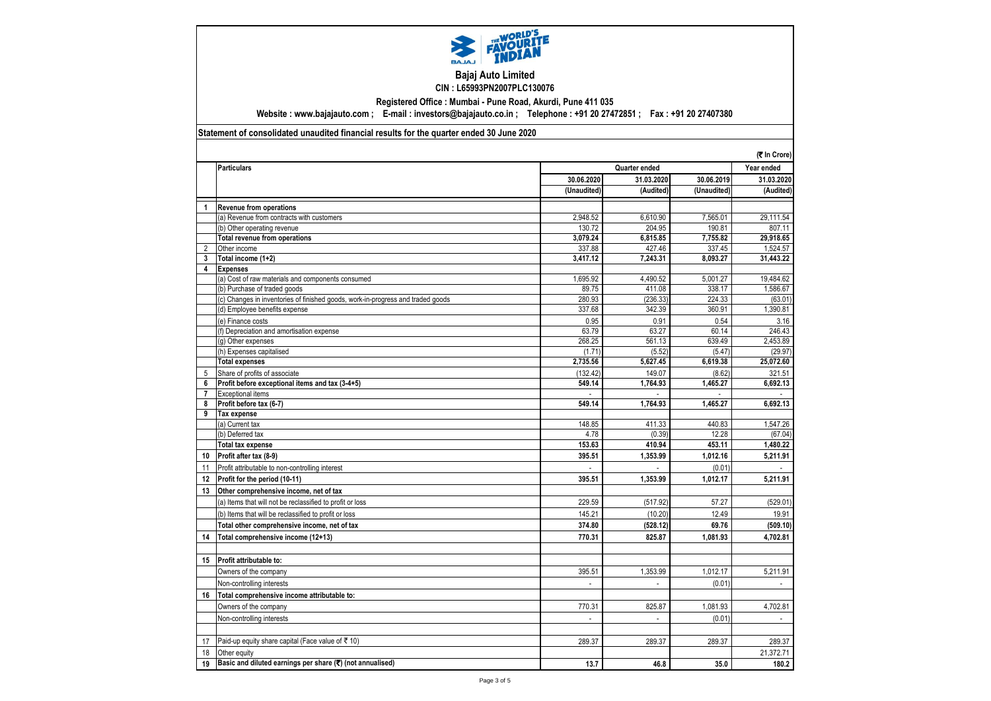

## **Bajaj Auto Limited CIN : L65993PN2007PLC130076**

**Registered Office : Mumbai - Pune Road, Akurdi, Pune 411 035**

**Website : www.bajajauto.com ; E-mail : investors@bajajauto.co.in ; Telephone : +91 20 27472851 ; Fax : +91 20 27407380**

## **Statement of consolidated unaudited financial results for the quarter ended 30 June 2020**

|                         |                                                                                 |                          |                             |             | (そ In Crore)   |
|-------------------------|---------------------------------------------------------------------------------|--------------------------|-----------------------------|-------------|----------------|
|                         | <b>Particulars</b>                                                              |                          | Quarter ended               |             | Year ended     |
|                         |                                                                                 | 30.06.2020               | 31.03.2020                  | 30.06.2019  | 31.03.2020     |
|                         |                                                                                 | (Unaudited)              | (Audited)                   | (Unaudited) | (Audited)      |
|                         | <b>Revenue from operations</b>                                                  |                          |                             |             |                |
|                         | (a) Revenue from contracts with customers                                       | 2,948.52                 | 6,610.90                    | 7,565.01    | 29,111.54      |
|                         | (b) Other operating revenue                                                     | 130.72                   | 204.95                      | 190.81      | 807.11         |
|                         | Total revenue from operations                                                   | 3,079.24                 | 6,815.85                    | 7,755.82    | 29,918.65      |
| $\overline{2}$          | Other income                                                                    | 337.88                   | 427.46                      | 337.45      | 1,524.57       |
| 3                       | Total income (1+2)                                                              | 3,417.12                 | 7,243.31                    | 8,093.27    | 31,443.22      |
| $\overline{\mathbf{4}}$ | <b>Expenses</b>                                                                 |                          |                             |             |                |
|                         | (a) Cost of raw materials and components consumed                               | 1,695.92                 | 4,490.52                    | 5,001.27    | 19,484.62      |
|                         | (b) Purchase of traded goods                                                    | 89.75                    | 411.08                      | 338.17      | 1,586.67       |
|                         | (c) Changes in inventories of finished goods, work-in-progress and traded goods | 280.93                   | (236.33)                    | 224.33      | (63.01)        |
|                         | (d) Employee benefits expense                                                   | 337.68                   | 342.39                      | 360.91      | 1,390.81       |
|                         | (e) Finance costs                                                               | 0.95                     | 0.91                        | 0.54        | 3.16           |
|                         | (f) Depreciation and amortisation expense                                       | 63.79                    | 63.27                       | 60.14       | 246.43         |
|                         | (g) Other expenses                                                              | 268.25                   | 561.13                      | 639.49      | 2,453.89       |
|                         | (h) Expenses capitalised                                                        | (1.71)                   | (5.52)                      | (5.47)      | (29.97)        |
|                         | <b>Total expenses</b>                                                           | 2,735.56                 | 5,627.45                    | 6,619.38    | 25,072.60      |
| 5                       | Share of profits of associate                                                   | (132.42)                 | 149.07                      | (8.62)      | 321.51         |
| 6                       | Profit before exceptional items and tax (3-4+5)                                 | 549.14                   | 1,764.93                    | 1,465.27    | 6,692.13       |
| $\overline{7}$          | <b>Exceptional items</b>                                                        |                          |                             |             |                |
| 8                       | Profit before tax (6-7)                                                         | 549.14                   | 1,764.93                    | 1,465.27    | 6,692.13       |
| 9                       | Tax expense                                                                     |                          |                             |             |                |
|                         | (a) Current tax                                                                 | 148.85                   | 411.33                      | 440.83      | 1,547.26       |
|                         | (b) Deferred tax                                                                | 4.78                     | (0.39)                      | 12.28       | (67.04)        |
|                         | <b>Total tax expense</b>                                                        | 153.63                   | 410.94                      | 453.11      | 1.480.22       |
| 10                      | Profit after tax (8-9)                                                          | 395.51                   | 1,353.99                    | 1,012.16    | 5,211.91       |
| 11                      | Profit attributable to non-controlling interest                                 |                          |                             | (0.01)      |                |
| 12                      | Profit for the period (10-11)                                                   | 395.51                   | 1.353.99                    | 1,012.17    | 5,211.91       |
| 13                      | Other comprehensive income, net of tax                                          |                          |                             |             |                |
|                         | (a) Items that will not be reclassified to profit or loss                       | 229.59                   | (517.92)                    | 57.27       | (529.01        |
|                         | (b) Items that will be reclassified to profit or loss                           | 145.21                   | (10.20)                     | 12.49       | 19.91          |
|                         | Total other comprehensive income, net of tax                                    | 374.80                   | (528.12)                    | 69.76       | (509.10)       |
| 14                      | Total comprehensive income (12+13)                                              | 770.31                   | 825.87                      | 1,081.93    | 4,702.81       |
|                         |                                                                                 |                          |                             |             |                |
| 15                      | Profit attributable to:                                                         |                          |                             |             |                |
|                         | Owners of the company                                                           | 395.51                   | 1,353.99                    | 1,012.17    | 5,211.91       |
|                         | Non-controlling interests                                                       | $\overline{\phantom{a}}$ | $\overline{a}$              | (0.01)      |                |
| 16                      | Total comprehensive income attributable to:                                     |                          |                             |             |                |
|                         | Owners of the company                                                           | 770.31                   | 825.87                      | 1,081.93    | 4,702.81       |
|                         | Non-controlling interests                                                       | $\overline{\phantom{a}}$ | $\mathcal{L}_{\mathcal{A}}$ | (0.01)      | $\overline{a}$ |
|                         |                                                                                 |                          |                             |             |                |
| 17                      | Paid-up equity share capital (Face value of ₹ 10)                               | 289.37                   | 289.37                      | 289.37      | 289.37         |
| 18                      | Other equity                                                                    |                          |                             |             | 21,372.71      |
| 19                      | Basic and diluted earnings per share (₹) (not annualised)                       | 13.7                     | 46.8                        | 35.0        | 180.2          |
|                         |                                                                                 |                          |                             |             |                |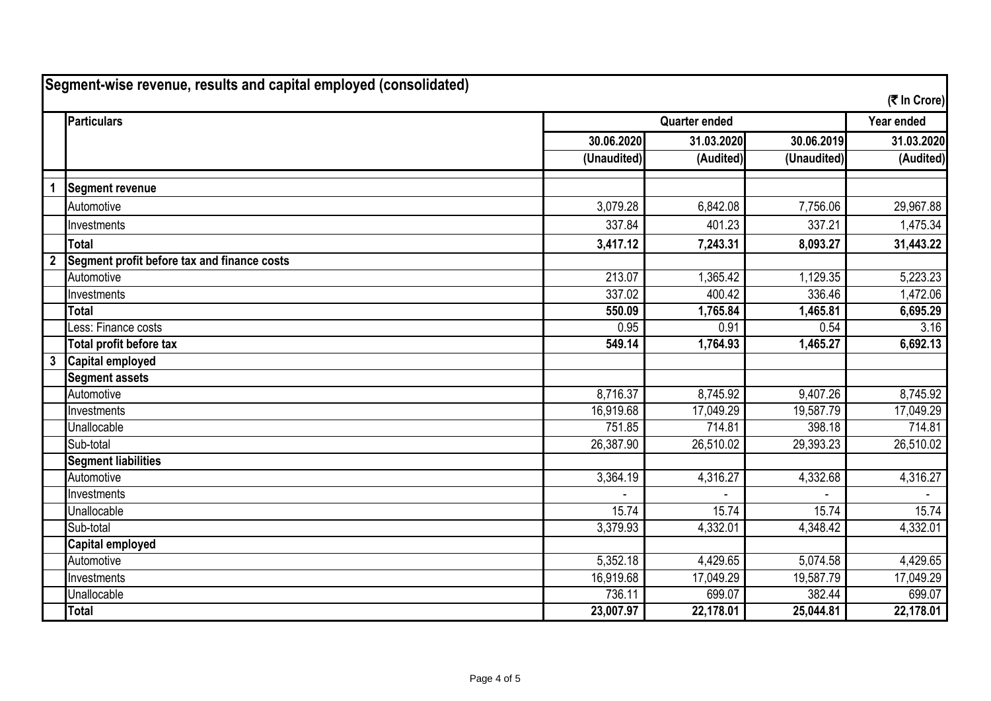| Segment-wise revenue, results and capital employed (consolidated)<br>(そ In Crore) |                                             |                      |            |             |            |
|-----------------------------------------------------------------------------------|---------------------------------------------|----------------------|------------|-------------|------------|
|                                                                                   | Particulars                                 | <b>Quarter ended</b> |            |             | Year ended |
|                                                                                   |                                             | 30.06.2020           | 31.03.2020 | 30.06.2019  | 31.03.2020 |
|                                                                                   |                                             | (Unaudited)          | (Audited)  | (Unaudited) | (Audited)  |
| $\mathbf{1}$                                                                      | <b>Segment revenue</b>                      |                      |            |             |            |
|                                                                                   | Automotive                                  | 3,079.28             | 6,842.08   | 7,756.06    | 29,967.88  |
|                                                                                   | Investments                                 | 337.84               | 401.23     | 337.21      | 1,475.34   |
|                                                                                   | <b>Total</b>                                | 3,417.12             | 7,243.31   | 8,093.27    | 31,443.22  |
| $\overline{2}$                                                                    | Segment profit before tax and finance costs |                      |            |             |            |
|                                                                                   | Automotive                                  | 213.07               | 1,365.42   | 1,129.35    | 5,223.23   |
|                                                                                   | Investments                                 | 337.02               | 400.42     | 336.46      | 1,472.06   |
|                                                                                   | <b>Total</b>                                | 550.09               | 1,765.84   | 1,465.81    | 6,695.29   |
|                                                                                   | Less: Finance costs                         | 0.95                 | 0.91       | 0.54        | 3.16       |
|                                                                                   | Total profit before tax                     | 549.14               | 1,764.93   | 1,465.27    | 6,692.13   |
| $\boldsymbol{3}$                                                                  | <b>Capital employed</b>                     |                      |            |             |            |
|                                                                                   | <b>Segment assets</b>                       |                      |            |             |            |
|                                                                                   | Automotive                                  | 8,716.37             | 8,745.92   | 9,407.26    | 8,745.92   |
|                                                                                   | Investments                                 | 16,919.68            | 17,049.29  | 19,587.79   | 17,049.29  |
|                                                                                   | Unallocable                                 | 751.85               | 714.81     | 398.18      | 714.81     |
|                                                                                   | Sub-total                                   | 26,387.90            | 26,510.02  | 29,393.23   | 26,510.02  |
|                                                                                   | <b>Segment liabilities</b>                  |                      |            |             |            |
|                                                                                   | Automotive                                  | 3,364.19             | 4,316.27   | 4,332.68    | 4,316.27   |
|                                                                                   | Investments                                 |                      |            |             |            |
|                                                                                   | <b>Unallocable</b>                          | 15.74                | 15.74      | 15.74       | 15.74      |
|                                                                                   | Sub-total                                   | 3,379.93             | 4,332.01   | 4,348.42    | 4,332.01   |
|                                                                                   | <b>Capital employed</b>                     |                      |            |             |            |
|                                                                                   | Automotive                                  | 5,352.18             | 4,429.65   | 5,074.58    | 4,429.65   |
|                                                                                   | Investments                                 | 16,919.68            | 17,049.29  | 19,587.79   | 17,049.29  |
|                                                                                   | Unallocable                                 | 736.11               | 699.07     | 382.44      | 699.07     |
|                                                                                   | <b>Total</b>                                | 23,007.97            | 22,178.01  | 25,044.81   | 22,178.01  |